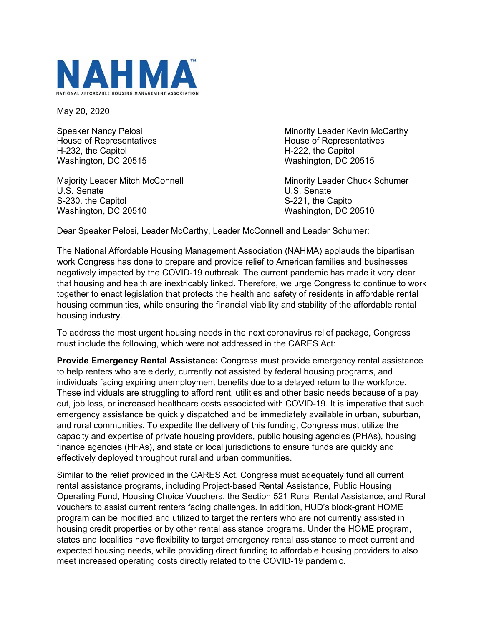

May 20, 2020

House of Representatives **House of Representatives House of Representatives** H-232, the Capitol H-222, the Capitol Washington, DC 20515 Washington, DC 20515

Majority Leader Mitch McConnell Minority Leader Chuck Schumer U.S. Senate U.S. Senate S-230, the Capitol S-221, the Capitol Washington, DC 20510 Washington, DC 20510

Speaker Nancy Pelosi **Minority Leader Kevin McCarthy** 

Dear Speaker Pelosi, Leader McCarthy, Leader McConnell and Leader Schumer:

The National Affordable Housing Management Association (NAHMA) applauds the bipartisan work Congress has done to prepare and provide relief to American families and businesses negatively impacted by the COVID-19 outbreak. The current pandemic has made it very clear that housing and health are inextricably linked. Therefore, we urge Congress to continue to work together to enact legislation that protects the health and safety of residents in affordable rental housing communities, while ensuring the financial viability and stability of the affordable rental housing industry.

To address the most urgent housing needs in the next coronavirus relief package, Congress must include the following, which were not addressed in the CARES Act:

**Provide Emergency Rental Assistance:** Congress must provide emergency rental assistance to help renters who are elderly, currently not assisted by federal housing programs, and individuals facing expiring unemployment benefits due to a delayed return to the workforce. These individuals are struggling to afford rent, utilities and other basic needs because of a pay cut, job loss, or increased healthcare costs associated with COVID-19. It is imperative that such emergency assistance be quickly dispatched and be immediately available in urban, suburban, and rural communities. To expedite the delivery of this funding, Congress must utilize the capacity and expertise of private housing providers, public housing agencies (PHAs), housing finance agencies (HFAs), and state or local jurisdictions to ensure funds are quickly and effectively deployed throughout rural and urban communities.

Similar to the relief provided in the CARES Act, Congress must adequately fund all current rental assistance programs, including Project-based Rental Assistance, Public Housing Operating Fund, Housing Choice Vouchers, the Section 521 Rural Rental Assistance, and Rural vouchers to assist current renters facing challenges. In addition, HUD's block-grant HOME program can be modified and utilized to target the renters who are not currently assisted in housing credit properties or by other rental assistance programs. Under the HOME program, states and localities have flexibility to target emergency rental assistance to meet current and expected housing needs, while providing direct funding to affordable housing providers to also meet increased operating costs directly related to the COVID-19 pandemic.